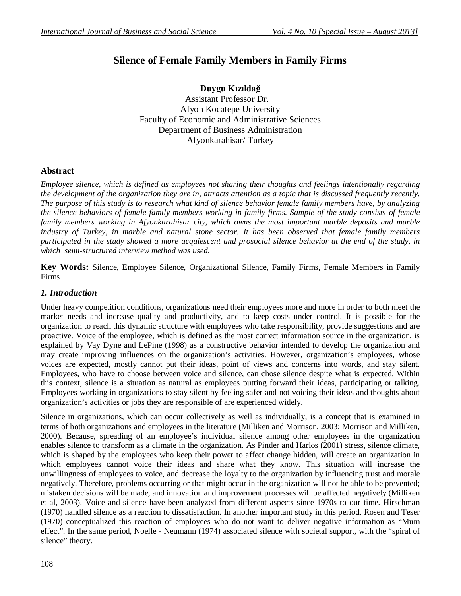# **Silence of Female Family Members in Family Firms**

**Duygu Kızıldağ**  Assistant Professor Dr. Afyon Kocatepe University Faculty of Economic and Administrative Sciences Department of Business Administration Afyonkarahisar/ Turkey

# **Abstract**

*Employee silence, which is defined as employees not sharing their thoughts and feelings intentionally regarding the development of the organization they are in, attracts attention as a topic that is discussed frequently recently. The purpose of this study is to research what kind of silence behavior female family members have, by analyzing the silence behaviors of female family members working in family firms. Sample of the study consists of female family members working in Afyonkarahisar city, which owns the most important marble deposits and marble industry of Turkey, in marble and natural stone sector. It has been observed that female family members participated in the study showed a more acquiescent and prosocial silence behavior at the end of the study, in which semi-structured interview method was used.*

**Key Words:** Silence, Employee Silence, Organizational Silence, Family Firms, Female Members in Family Firms

### *1. Introduction*

Under heavy competition conditions, organizations need their employees more and more in order to both meet the market needs and increase quality and productivity, and to keep costs under control. It is possible for the organization to reach this dynamic structure with employees who take responsibility, provide suggestions and are proactive. Voice of the employee, which is defined as the most correct information source in the organization, is explained by Vay Dyne and LePine (1998) as a constructive behavior intended to develop the organization and may create improving influences on the organization's activities. However, organization's employees, whose voices are expected, mostly cannot put their ideas, point of views and concerns into words, and stay silent. Employees, who have to choose between voice and silence, can chose silence despite what is expected. Within this context, silence is a situation as natural as employees putting forward their ideas, participating or talking. Employees working in organizations to stay silent by feeling safer and not voicing their ideas and thoughts about organization's activities or jobs they are responsible of are experienced widely.

Silence in organizations, which can occur collectively as well as individually, is a concept that is examined in terms of both organizations and employees in the literature (Milliken and Morrison, 2003; Morrison and Milliken, 2000). Because, spreading of an employee's individual silence among other employees in the organization enables silence to transform as a climate in the organization. As Pinder and Harlos (2001) stress, silence climate, which is shaped by the employees who keep their power to affect change hidden, will create an organization in which employees cannot voice their ideas and share what they know. This situation will increase the unwillingness of employees to voice, and decrease the loyalty to the organization by influencing trust and morale negatively. Therefore, problems occurring or that might occur in the organization will not be able to be prevented; mistaken decisions will be made, and innovation and improvement processes will be affected negatively (Milliken et al, 2003). Voice and silence have been analyzed from different aspects since 1970s to our time. Hirschman (1970) handled silence as a reaction to dissatisfaction. In another important study in this period, Rosen and Teser (1970) conceptualized this reaction of employees who do not want to deliver negative information as "Mum effect". In the same period, Noelle - Neumann (1974) associated silence with societal support, with the "spiral of silence" theory.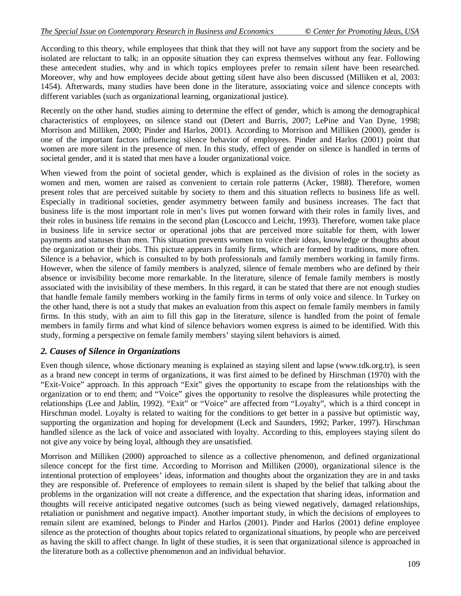According to this theory, while employees that think that they will not have any support from the society and be isolated are reluctant to talk; in an opposite situation they can express themselves without any fear. Following these antecedent studies, why and in which topics employees prefer to remain silent have been researched. Moreover, why and how employees decide about getting silent have also been discussed (Milliken et al, 2003: 1454). Afterwards, many studies have been done in the literature, associating voice and silence concepts with different variables (such as organizational learning, organizational justice).

Recently on the other hand, studies aiming to determine the effect of gender, which is among the demographical characteristics of employees, on silence stand out (Detert and Burris, 2007; LePine and Van Dyne, 1998; Morrison and Milliken, 2000; Pinder and Harlos, 2001). According to Morrison and Milliken (2000), gender is one of the important factors influencing silence behavior of employees. Pinder and Harlos (2001) point that women are more silent in the presence of men. In this study, effect of gender on silence is handled in terms of societal gender, and it is stated that men have a louder organizational voice.

When viewed from the point of societal gender, which is explained as the division of roles in the society as women and men, women are raised as convenient to certain role patterns (Acker, 1988). Therefore, women present roles that are perceived suitable by society to them and this situation reflects to business life as well. Especially in traditional societies, gender asymmetry between family and business increases. The fact that business life is the most important role in men's lives put women forward with their roles in family lives, and their roles in business life remains in the second plan (Loscocco and Leicht, 1993). Therefore, women take place in business life in service sector or operational jobs that are perceived more suitable for them, with lower payments and statuses than men. This situation prevents women to voice their ideas, knowledge or thoughts about the organization or their jobs. This picture appears in family firms, which are formed by traditions, more often. Silence is a behavior, which is consulted to by both professionals and family members working in family firms. However, when the silence of family members is analyzed, silence of female members who are defined by their absence or invisibility become more remarkable. In the literature, silence of female family members is mostly associated with the invisibility of these members. In this regard, it can be stated that there are not enough studies that handle female family members working in the family firms in terms of only voice and silence. In Turkey on the other hand, there is not a study that makes an evaluation from this aspect on female family members in family firms. In this study, with an aim to fill this gap in the literature, silence is handled from the point of female members in family firms and what kind of silence behaviors women express is aimed to be identified. With this study, forming a perspective on female family members' staying silent behaviors is aimed.

### *2. Causes of Silence in Organizations*

Even though silence, whose dictionary meaning is explained as staying silent and lapse (www.tdk.org.tr), is seen as a brand new concept in terms of organizations, it was first aimed to be defined by Hirschman (1970) with the "Exit-Voice" approach. In this approach "Exit" gives the opportunity to escape from the relationships with the organization or to end them; and "Voice" gives the opportunity to resolve the displeasures while protecting the relationships (Lee and Jablin, 1992). "Exit" or "Voice" are affected from "Loyalty", which is a third concept in Hirschman model. Loyalty is related to waiting for the conditions to get better in a passive but optimistic way, supporting the organization and hoping for development (Leck and Saunders, 1992; Parker, 1997). Hirschman handled silence as the lack of voice and associated with loyalty. According to this, employees staying silent do not give any voice by being loyal, although they are unsatisfied.

Morrison and Milliken (2000) approached to silence as a collective phenomenon, and defined organizational silence concept for the first time. According to Morrison and Milliken (2000), organizational silence is the intentional protection of employees' ideas, information and thoughts about the organization they are in and tasks they are responsible of. Preference of employees to remain silent is shaped by the belief that talking about the problems in the organization will not create a difference, and the expectation that sharing ideas, information and thoughts will receive anticipated negative outcomes (such as being viewed negatively, damaged relationships, retaliation or punishment and negative impact). Another important study, in which the decisions of employees to remain silent are examined, belongs to Pinder and Harlos (2001). Pinder and Harlos (2001) define employee silence as the protection of thoughts about topics related to organizational situations, by people who are perceived as having the skill to affect change. In light of these studies, it is seen that organizational silence is approached in the literature both as a collective phenomenon and an individual behavior.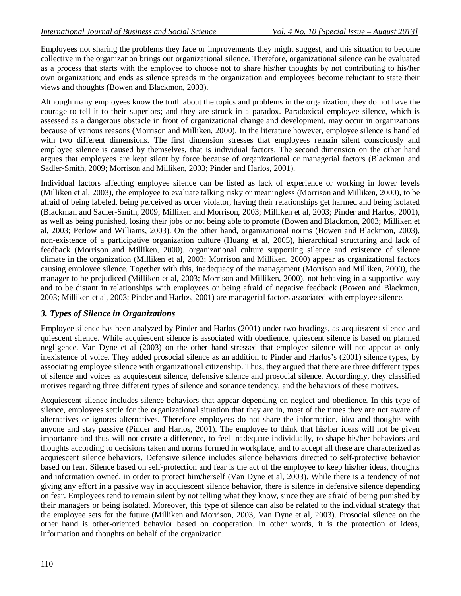Employees not sharing the problems they face or improvements they might suggest, and this situation to become collective in the organization brings out organizational silence. Therefore, organizational silence can be evaluated as a process that starts with the employee to choose not to share his/her thoughts by not contributing to his/her own organization; and ends as silence spreads in the organization and employees become reluctant to state their views and thoughts (Bowen and Blackmon, 2003).

Although many employees know the truth about the topics and problems in the organization, they do not have the courage to tell it to their superiors; and they are struck in a paradox. Paradoxical employee silence, which is assessed as a dangerous obstacle in front of organizational change and development, may occur in organizations because of various reasons (Morrison and Milliken, 2000). In the literature however, employee silence is handled with two different dimensions. The first dimension stresses that employees remain silent consciously and employee silence is caused by themselves, that is individual factors. The second dimension on the other hand argues that employees are kept silent by force because of organizational or managerial factors (Blackman and Sadler-Smith, 2009; Morrison and Milliken, 2003; Pinder and Harlos, 2001).

Individual factors affecting employee silence can be listed as lack of experience or working in lower levels (Milliken et al, 2003), the employee to evaluate talking risky or meaningless (Morrison and Milliken, 2000), to be afraid of being labeled, being perceived as order violator, having their relationships get harmed and being isolated (Blackman and Sadler-Smith, 2009; Milliken and Morrison, 2003; Milliken et al, 2003; Pinder and Harlos, 2001), as well as being punished, losing their jobs or not being able to promote (Bowen and Blackmon, 2003; Milliken et al, 2003; Perlow and Williams, 2003). On the other hand, organizational norms (Bowen and Blackmon, 2003), non-existence of a participative organization culture (Huang et al, 2005), hierarchical structuring and lack of feedback (Morrison and Milliken, 2000), organizational culture supporting silence and existence of silence climate in the organization (Milliken et al, 2003; Morrison and Milliken, 2000) appear as organizational factors causing employee silence. Together with this, inadequacy of the management (Morrison and Milliken, 2000), the manager to be prejudiced (Milliken et al, 2003; Morrison and Milliken, 2000), not behaving in a supportive way and to be distant in relationships with employees or being afraid of negative feedback (Bowen and Blackmon, 2003; Milliken et al, 2003; Pinder and Harlos, 2001) are managerial factors associated with employee silence.

# *3. Types of Silence in Organizations*

Employee silence has been analyzed by Pinder and Harlos (2001) under two headings, as acquiescent silence and quiescent silence. While acquiescent silence is associated with obedience, quiescent silence is based on planned negligence. Van Dyne et al (2003) on the other hand stressed that employee silence will not appear as only inexistence of voice. They added prosocial silence as an addition to Pinder and Harlos's (2001) silence types, by associating employee silence with organizational citizenship. Thus, they argued that there are three different types of silence and voices as acquiescent silence, defensive silence and prosocial silence. Accordingly, they classified motives regarding three different types of silence and sonance tendency, and the behaviors of these motives.

Acquiescent silence includes silence behaviors that appear depending on neglect and obedience. In this type of silence, employees settle for the organizational situation that they are in, most of the times they are not aware of alternatives or ignores alternatives. Therefore employees do not share the information, idea and thoughts with anyone and stay passive (Pinder and Harlos, 2001). The employee to think that his/her ideas will not be given importance and thus will not create a difference, to feel inadequate individually, to shape his/her behaviors and thoughts according to decisions taken and norms formed in workplace, and to accept all these are characterized as acquiescent silence behaviors. Defensive silence includes silence behaviors directed to self-protective behavior based on fear. Silence based on self-protection and fear is the act of the employee to keep his/her ideas, thoughts and information owned, in order to protect him/herself (Van Dyne et al, 2003). While there is a tendency of not giving any effort in a passive way in acquiescent silence behavior, there is silence in defensive silence depending on fear. Employees tend to remain silent by not telling what they know, since they are afraid of being punished by their managers or being isolated. Moreover, this type of silence can also be related to the individual strategy that the employee sets for the future (Milliken and Morrison, 2003, Van Dyne et al, 2003). Prosocial silence on the other hand is other-oriented behavior based on cooperation. In other words, it is the protection of ideas, information and thoughts on behalf of the organization.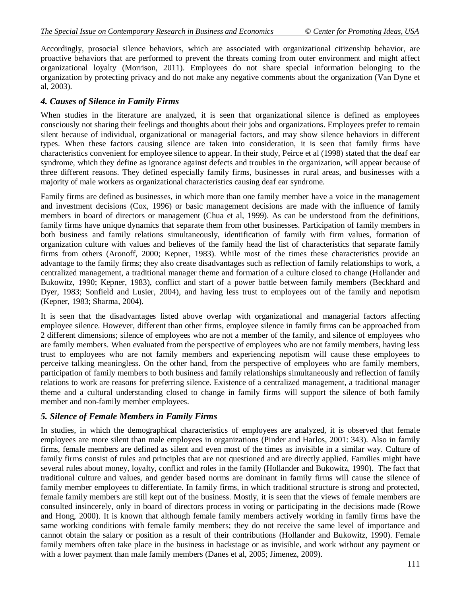Accordingly, prosocial silence behaviors, which are associated with organizational citizenship behavior, are proactive behaviors that are performed to prevent the threats coming from outer environment and might affect organizational loyalty (Morrison, 2011). Employees do not share special information belonging to the organization by protecting privacy and do not make any negative comments about the organization (Van Dyne et al, 2003).

# *4. Causes of Silence in Family Firms*

When studies in the literature are analyzed, it is seen that organizational silence is defined as employees consciously not sharing their feelings and thoughts about their jobs and organizations. Employees prefer to remain silent because of individual, organizational or managerial factors, and may show silence behaviors in different types. When these factors causing silence are taken into consideration, it is seen that family firms have characteristics convenient for employee silence to appear. In their study, Peirce et al (1998) stated that the deaf ear syndrome, which they define as ignorance against defects and troubles in the organization, will appear because of three different reasons. They defined especially family firms, businesses in rural areas, and businesses with a majority of male workers as organizational characteristics causing deaf ear syndrome.

Family firms are defined as businesses, in which more than one family member have a voice in the management and investment decisions (Cox, 1996) or basic management decisions are made with the influence of family members in board of directors or management (Chua et al, 1999). As can be understood from the definitions, family firms have unique dynamics that separate them from other businesses. Participation of family members in both business and family relations simultaneously, identification of family with firm values, formation of organization culture with values and believes of the family head the list of characteristics that separate family firms from others (Aronoff, 2000; Kepner, 1983). While most of the times these characteristics provide an advantage to the family firms; they also create disadvantages such as reflection of family relationships to work, a centralized management, a traditional manager theme and formation of a culture closed to change (Hollander and Bukowitz, 1990; Kepner, 1983), conflict and start of a power battle between family members (Beckhard and Dyer, 1983; Sonfield and Lusier, 2004), and having less trust to employees out of the family and nepotism (Kepner, 1983; Sharma, 2004).

It is seen that the disadvantages listed above overlap with organizational and managerial factors affecting employee silence. However, different than other firms, employee silence in family firms can be approached from 2 different dimensions; silence of employees who are not a member of the family, and silence of employees who are family members. When evaluated from the perspective of employees who are not family members, having less trust to employees who are not family members and experiencing nepotism will cause these employees to perceive talking meaningless. On the other hand, from the perspective of employees who are family members, participation of family members to both business and family relationships simultaneously and reflection of family relations to work are reasons for preferring silence. Existence of a centralized management, a traditional manager theme and a cultural understanding closed to change in family firms will support the silence of both family member and non-family member employees.

# *5. Silence of Female Members in Family Firms*

In studies, in which the demographical characteristics of employees are analyzed, it is observed that female employees are more silent than male employees in organizations (Pinder and Harlos, 2001: 343). Also in family firms, female members are defined as silent and even most of the times as invisible in a similar way. Culture of family firms consist of rules and principles that are not questioned and are directly applied. Families might have several rules about money, loyalty, conflict and roles in the family (Hollander and Bukowitz, 1990). The fact that traditional culture and values, and gender based norms are dominant in family firms will cause the silence of family member employees to differentiate. In family firms, in which traditional structure is strong and protected, female family members are still kept out of the business. Mostly, it is seen that the views of female members are consulted insincerely, only in board of directors process in voting or participating in the decisions made (Rowe and Hong, 2000). It is known that although female family members actively working in family firms have the same working conditions with female family members; they do not receive the same level of importance and cannot obtain the salary or position as a result of their contributions (Hollander and Bukowitz, 1990). Female family members often take place in the business in backstage or as invisible, and work without any payment or with a lower payment than male family members (Danes et al, 2005; Jimenez, 2009).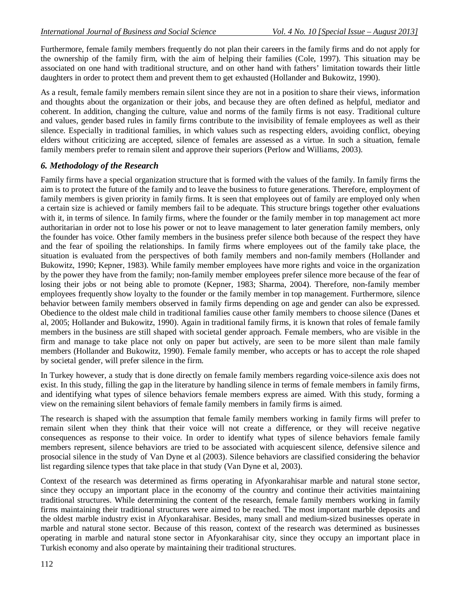Furthermore, female family members frequently do not plan their careers in the family firms and do not apply for the ownership of the family firm, with the aim of helping their families (Cole, 1997). This situation may be associated on one hand with traditional structure, and on other hand with fathers' limitation towards their little daughters in order to protect them and prevent them to get exhausted (Hollander and Bukowitz, 1990).

As a result, female family members remain silent since they are not in a position to share their views, information and thoughts about the organization or their jobs, and because they are often defined as helpful, mediator and coherent. In addition, changing the culture, value and norms of the family firms is not easy. Traditional culture and values, gender based rules in family firms contribute to the invisibility of female employees as well as their silence. Especially in traditional families, in which values such as respecting elders, avoiding conflict, obeying elders without criticizing are accepted, silence of females are assessed as a virtue. In such a situation, female family members prefer to remain silent and approve their superiors (Perlow and Williams, 2003).

# *6. Methodology of the Research*

Family firms have a special organization structure that is formed with the values of the family. In family firms the aim is to protect the future of the family and to leave the business to future generations. Therefore, employment of family members is given priority in family firms. It is seen that employees out of family are employed only when a certain size is achieved or family members fail to be adequate. This structure brings together other evaluations with it, in terms of silence. In family firms, where the founder or the family member in top management act more authoritarian in order not to lose his power or not to leave management to later generation family members, only the founder has voice. Other family members in the business prefer silence both because of the respect they have and the fear of spoiling the relationships. In family firms where employees out of the family take place, the situation is evaluated from the perspectives of both family members and non-family members (Hollander and Bukowitz, 1990; Kepner, 1983). While family member employees have more rights and voice in the organization by the power they have from the family; non-family member employees prefer silence more because of the fear of losing their jobs or not being able to promote (Kepner, 1983; Sharma, 2004). Therefore, non-family member employees frequently show loyalty to the founder or the family member in top management. Furthermore, silence behavior between family members observed in family firms depending on age and gender can also be expressed. Obedience to the oldest male child in traditional families cause other family members to choose silence (Danes et al, 2005; Hollander and Bukowitz, 1990). Again in traditional family firms, it is known that roles of female family members in the business are still shaped with societal gender approach. Female members, who are visible in the firm and manage to take place not only on paper but actively, are seen to be more silent than male family members (Hollander and Bukowitz, 1990). Female family member, who accepts or has to accept the role shaped by societal gender, will prefer silence in the firm.

In Turkey however, a study that is done directly on female family members regarding voice-silence axis does not exist. In this study, filling the gap in the literature by handling silence in terms of female members in family firms, and identifying what types of silence behaviors female members express are aimed. With this study, forming a view on the remaining silent behaviors of female family members in family firms is aimed.

The research is shaped with the assumption that female family members working in family firms will prefer to remain silent when they think that their voice will not create a difference, or they will receive negative consequences as response to their voice. In order to identify what types of silence behaviors female family members represent, silence behaviors are tried to be associated with acquiescent silence, defensive silence and prosocial silence in the study of Van Dyne et al (2003). Silence behaviors are classified considering the behavior list regarding silence types that take place in that study (Van Dyne et al, 2003).

Context of the research was determined as firms operating in Afyonkarahisar marble and natural stone sector, since they occupy an important place in the economy of the country and continue their activities maintaining traditional structures. While determining the content of the research, female family members working in family firms maintaining their traditional structures were aimed to be reached. The most important marble deposits and the oldest marble industry exist in Afyonkarahisar. Besides, many small and medium-sized businesses operate in marble and natural stone sector. Because of this reason, context of the research was determined as businesses operating in marble and natural stone sector in Afyonkarahisar city, since they occupy an important place in Turkish economy and also operate by maintaining their traditional structures.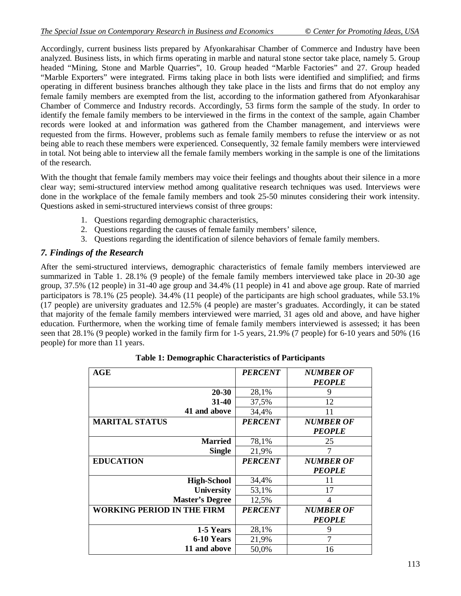Accordingly, current business lists prepared by Afyonkarahisar Chamber of Commerce and Industry have been analyzed. Business lists, in which firms operating in marble and natural stone sector take place, namely 5. Group headed "Mining, Stone and Marble Quarries", 10. Group headed "Marble Factories" and 27. Group headed "Marble Exporters" were integrated. Firms taking place in both lists were identified and simplified; and firms operating in different business branches although they take place in the lists and firms that do not employ any female family members are exempted from the list, according to the information gathered from Afyonkarahisar Chamber of Commerce and Industry records. Accordingly, 53 firms form the sample of the study. In order to identify the female family members to be interviewed in the firms in the context of the sample, again Chamber records were looked at and information was gathered from the Chamber management, and interviews were requested from the firms. However, problems such as female family members to refuse the interview or as not being able to reach these members were experienced. Consequently, 32 female family members were interviewed in total. Not being able to interview all the female family members working in the sample is one of the limitations of the research.

With the thought that female family members may voice their feelings and thoughts about their silence in a more clear way; semi-structured interview method among qualitative research techniques was used. Interviews were done in the workplace of the female family members and took 25-50 minutes considering their work intensity. Questions asked in semi-structured interviews consist of three groups:

- 1. Questions regarding demographic characteristics,
- 2. Questions regarding the causes of female family members' silence,
- 3. Questions regarding the identification of silence behaviors of female family members.

# *7. Findings of the Research*

After the semi-structured interviews, demographic characteristics of female family members interviewed are summarized in Table 1. 28.1% (9 people) of the female family members interviewed take place in 20-30 age group, 37.5% (12 people) in 31-40 age group and 34.4% (11 people) in 41 and above age group. Rate of married participators is 78.1% (25 people). 34.4% (11 people) of the participants are high school graduates, while 53.1% (17 people) are university graduates and 12.5% (4 people) are master's graduates. Accordingly, it can be stated that majority of the female family members interviewed were married, 31 ages old and above, and have higher education. Furthermore, when the working time of female family members interviewed is assessed; it has been seen that 28.1% (9 people) worked in the family firm for 1-5 years, 21.9% (7 people) for 6-10 years and 50% (16 people) for more than 11 years.

| AGE                               | <b>PERCENT</b> | <b>NUMBER OF</b> |
|-----------------------------------|----------------|------------------|
|                                   |                | <b>PEOPLE</b>    |
| 20-30                             | 28,1%          | 9                |
| $31 - 40$                         | 37,5%          | 12               |
| 41 and above                      | 34,4%          | 11               |
| <b>MARITAL STATUS</b>             | <b>PERCENT</b> | <b>NUMBER OF</b> |
|                                   |                | <b>PEOPLE</b>    |
| <b>Married</b>                    | 78,1%          | 25               |
| <b>Single</b>                     | 21,9%          |                  |
| <b>EDUCATION</b>                  | <b>PERCENT</b> | <b>NUMBER OF</b> |
|                                   |                | <b>PEOPLE</b>    |
| <b>High-School</b>                | 34,4%          | 11               |
| <b>University</b>                 | 53,1%          | 17               |
| <b>Master's Degree</b>            | 12,5%          | 4                |
| <b>WORKING PERIOD IN THE FIRM</b> | <b>PERCENT</b> | <b>NUMBER OF</b> |
|                                   |                | <b>PEOPLE</b>    |
| 1-5 Years                         | 28,1%          | 9                |
| 6-10 Years                        | 21,9%          | 7                |
| 11 and above                      | 50,0%          | 16               |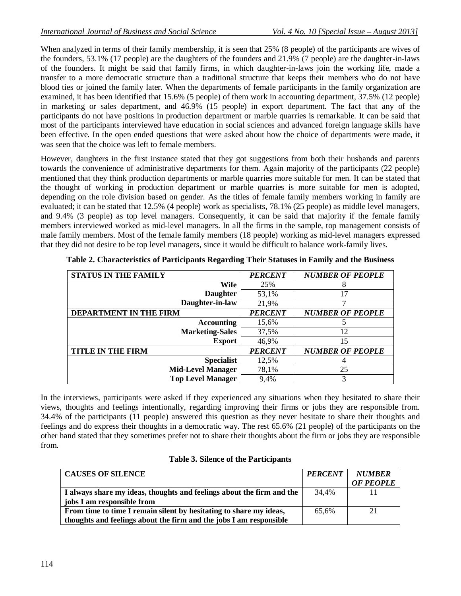When analyzed in terms of their family membership, it is seen that 25% (8 people) of the participants are wives of the founders, 53.1% (17 people) are the daughters of the founders and 21.9% (7 people) are the daughter-in-laws of the founders. It might be said that family firms, in which daughter-in-laws join the working life, made a transfer to a more democratic structure than a traditional structure that keeps their members who do not have blood ties or joined the family later. When the departments of female participants in the family organization are examined, it has been identified that 15.6% (5 people) of them work in accounting department, 37.5% (12 people) in marketing or sales department, and 46.9% (15 people) in export department. The fact that any of the participants do not have positions in production department or marble quarries is remarkable. It can be said that most of the participants interviewed have education in social sciences and advanced foreign language skills have been effective. In the open ended questions that were asked about how the choice of departments were made, it was seen that the choice was left to female members.

However, daughters in the first instance stated that they got suggestions from both their husbands and parents towards the convenience of administrative departments for them. Again majority of the participants (22 people) mentioned that they think production departments or marble quarries more suitable for men. It can be stated that the thought of working in production department or marble quarries is more suitable for men is adopted, depending on the role division based on gender. As the titles of female family members working in family are evaluated; it can be stated that 12.5% (4 people) work as specialists, 78.1% (25 people) as middle level managers, and 9.4% (3 people) as top level managers. Consequently, it can be said that majority if the female family members interviewed worked as mid-level managers. In all the firms in the sample, top management consists of male family members. Most of the female family members (18 people) working as mid-level managers expressed that they did not desire to be top level managers, since it would be difficult to balance work-family lives.

| <b>STATUS IN THE FAMILY</b>   | <b>PERCENT</b> | <b>NUMBER OF PEOPLE</b> |
|-------------------------------|----------------|-------------------------|
| Wife                          | 25%            | 8                       |
| <b>Daughter</b>               | 53,1%          | 17                      |
| Daughter-in-law               | 21,9%          |                         |
| <b>DEPARTMENT IN THE FIRM</b> | <b>PERCENT</b> | <b>NUMBER OF PEOPLE</b> |
| Accounting                    | 15,6%          | 5                       |
| <b>Marketing-Sales</b>        | 37,5%          | 12                      |
| <b>Export</b>                 | 46,9%          | 15                      |
| <b>TITLE IN THE FIRM</b>      | <b>PERCENT</b> | <b>NUMBER OF PEOPLE</b> |
| <b>Specialist</b>             | 12,5%          |                         |
| <b>Mid-Level Manager</b>      | 78,1%          | 25                      |
| <b>Top Level Manager</b>      | 9,4%           | 3                       |

|  |  |  |  |  |  | Table 2. Characteristics of Participants Regarding Their Statuses in Family and the Business |
|--|--|--|--|--|--|----------------------------------------------------------------------------------------------|
|--|--|--|--|--|--|----------------------------------------------------------------------------------------------|

In the interviews, participants were asked if they experienced any situations when they hesitated to share their views, thoughts and feelings intentionally, regarding improving their firms or jobs they are responsible from. 34.4% of the participants (11 people) answered this question as they never hesitate to share their thoughts and feelings and do express their thoughts in a democratic way. The rest 65.6% (21 people) of the participants on the other hand stated that they sometimes prefer not to share their thoughts about the firm or jobs they are responsible from.

| <b>CAUSES OF SILENCE</b>                                              | <b>PERCENT</b> | <b>NUMBER</b>    |
|-----------------------------------------------------------------------|----------------|------------------|
|                                                                       |                | <b>OF PEOPLE</b> |
| I always share my ideas, thoughts and feelings about the firm and the | 34,4%          |                  |
| jobs I am responsible from                                            |                |                  |
| From time to time I remain silent by hesitating to share my ideas,    | 65,6%          | 21               |
| thoughts and feelings about the firm and the jobs I am responsible    |                |                  |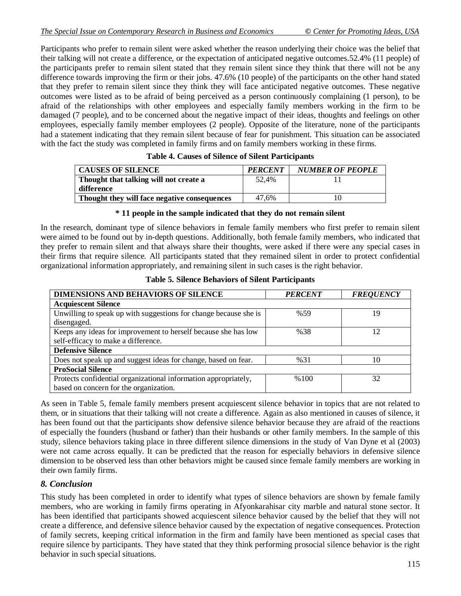Participants who prefer to remain silent were asked whether the reason underlying their choice was the belief that their talking will not create a difference, or the expectation of anticipated negative outcomes.52.4% (11 people) of the participants prefer to remain silent stated that they remain silent since they think that there will not be any difference towards improving the firm or their jobs. 47.6% (10 people) of the participants on the other hand stated that they prefer to remain silent since they think they will face anticipated negative outcomes. These negative outcomes were listed as to be afraid of being perceived as a person continuously complaining (1 person), to be afraid of the relationships with other employees and especially family members working in the firm to be damaged (7 people), and to be concerned about the negative impact of their ideas, thoughts and feelings on other employees, especially family member employees (2 people). Opposite of the literature, none of the participants had a statement indicating that they remain silent because of fear for punishment. This situation can be associated with the fact the study was completed in family firms and on family members working in these firms.

| <b>CAUSES OF SILENCE</b>                     | <b>PERCENT</b> | <b>NUMBER OF PEOPLE</b> |
|----------------------------------------------|----------------|-------------------------|
| Thought that talking will not create a       | 52.4%          |                         |
| difference                                   |                |                         |
| Thought they will face negative consequences | 47.6%          |                         |

#### **\* 11 people in the sample indicated that they do not remain silent**

In the research, dominant type of silence behaviors in female family members who first prefer to remain silent were aimed to be found out by in-depth questions. Additionally, both female family members, who indicated that they prefer to remain silent and that always share their thoughts, were asked if there were any special cases in their firms that require silence. All participants stated that they remained silent in order to protect confidential organizational information appropriately, and remaining silent in such cases is the right behavior.

| <b>DIMENSIONS AND BEHAVIORS OF SILENCE</b>                       | PERCENT | <b>FREQUENCY</b> |
|------------------------------------------------------------------|---------|------------------|
| <b>Acquiescent Silence</b>                                       |         |                  |
| Unwilling to speak up with suggestions for change because she is | %59     | 19               |
| disengaged.                                                      |         |                  |
| Keeps any ideas for improvement to herself because she has low   | %38     | 12               |
| self-efficacy to make a difference.                              |         |                  |
| <b>Defensive Silence</b>                                         |         |                  |
| Does not speak up and suggest ideas for change, based on fear.   | %31     | 10               |
| <b>ProSocial Silence</b>                                         |         |                  |
| Protects confidential organizational information appropriately,  | %100    | 32               |
| based on concern for the organization.                           |         |                  |

**Table 5. Silence Behaviors of Silent Participants** 

As seen in Table 5, female family members present acquiescent silence behavior in topics that are not related to them, or in situations that their talking will not create a difference. Again as also mentioned in causes of silence, it has been found out that the participants show defensive silence behavior because they are afraid of the reactions of especially the founders (husband or father) than their husbands or other family members. In the sample of this study, silence behaviors taking place in three different silence dimensions in the study of Van Dyne et al (2003) were not came across equally. It can be predicted that the reason for especially behaviors in defensive silence dimension to be observed less than other behaviors might be caused since female family members are working in their own family firms.

### *8. Conclusion*

This study has been completed in order to identify what types of silence behaviors are shown by female family members, who are working in family firms operating in Afyonkarahisar city marble and natural stone sector. It has been identified that participants showed acquiescent silence behavior caused by the belief that they will not create a difference, and defensive silence behavior caused by the expectation of negative consequences. Protection of family secrets, keeping critical information in the firm and family have been mentioned as special cases that require silence by participants. They have stated that they think performing prosocial silence behavior is the right behavior in such special situations.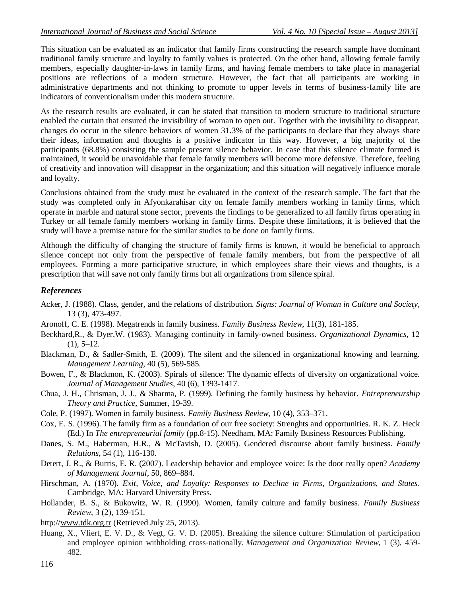This situation can be evaluated as an indicator that family firms constructing the research sample have dominant traditional family structure and loyalty to family values is protected. On the other hand, allowing female family members, especially daughter-in-laws in family firms, and having female members to take place in managerial positions are reflections of a modern structure. However, the fact that all participants are working in administrative departments and not thinking to promote to upper levels in terms of business-family life are indicators of conventionalism under this modern structure.

As the research results are evaluated, it can be stated that transition to modern structure to traditional structure enabled the curtain that ensured the invisibility of woman to open out. Together with the invisibility to disappear, changes do occur in the silence behaviors of women 31.3% of the participants to declare that they always share their ideas, information and thoughts is a positive indicator in this way. However, a big majority of the participants (68.8%) consisting the sample present silence behavior. In case that this silence climate formed is maintained, it would be unavoidable that female family members will become more defensive. Therefore, feeling of creativity and innovation will disappear in the organization; and this situation will negatively influence morale and loyalty.

Conclusions obtained from the study must be evaluated in the context of the research sample. The fact that the study was completed only in Afyonkarahisar city on female family members working in family firms, which operate in marble and natural stone sector, prevents the findings to be generalized to all family firms operating in Turkey or all female family members working in family firms. Despite these limitations, it is believed that the study will have a premise nature for the similar studies to be done on family firms.

Although the difficulty of changing the structure of family firms is known, it would be beneficial to approach silence concept not only from the perspective of female family members, but from the perspective of all employees. Forming a more participative structure, in which employees share their views and thoughts, is a prescription that will save not only family firms but all organizations from silence spiral.

# *References*

- Acker, J. (1988). Class, gender, and the relations of distribution*. Signs: Journal of Woman in Culture and Society*, 13 (3), 473-497.
- Aronoff, C. E. (1998). Megatrends in family business. *Family Business Review*, 11(3), 181-185.
- Beckhard,R., & Dyer,W. (1983). Managing continuity in family-owned business. *Organizational Dynamics*, 12  $(1), 5-12.$
- Blackman, D., & Sadler-Smith, E. (2009). The silent and the silenced in organizational knowing and learning. *Management Learning*, 40 (5), 569-585.
- Bowen, F., & Blackmon, K. (2003). Spirals of silence: The dynamic effects of diversity on organizational voice. *Journal of Management Studies*, 40 (6), 1393-1417.
- Chua, J. H., Chrisman, J. J., & Sharma, P. (1999). Defining the family business by behavior. *Entrepreneurship Theory and Practice*, Summer, 19-39.
- Cole, P. (1997). Women in family business. *Family Business Review*, 10 (4), 353–371.
- Cox, E. S. (1996). The family firm as a foundation of our free society: Strenghts and opportunities. R. K. Z. Heck (Ed.) In *The entrepreneurial family* (pp.8-15). Needham, MA: Family Business Resources Publishing.
- Danes, S. M., Haberman, H.R., & McTavish, D. (2005). Gendered discourse about family business. *Family Relations*, 54 (1), 116-130.
- Detert, J. R., & Burris, E. R. (2007). Leadership behavior and employee voice: Is the door really open? *Academy of Management Journal*, 50, 869–884.
- Hirschman, A. (1970). *Exit, Voice, and Loyalty: Responses to Decline in Firms, Organizations, and States*. Cambridge, MA: Harvard University Press.
- Hollander, B. S., & Bukowitz, W. R. (1990). Women, family culture and family business. *Family Business Review*, 3 (2), 139-151.
- http://www.tdk.org.tr (Retrieved July 25, 2013).
- Huang, X., Vliert, E. V. D., & Vegt, G. V. D. (2005). Breaking the silence culture: Stimulation of participation and employee opinion withholding cross‐nationally. *Management and Organization Review*, 1 (3), 459- 482.